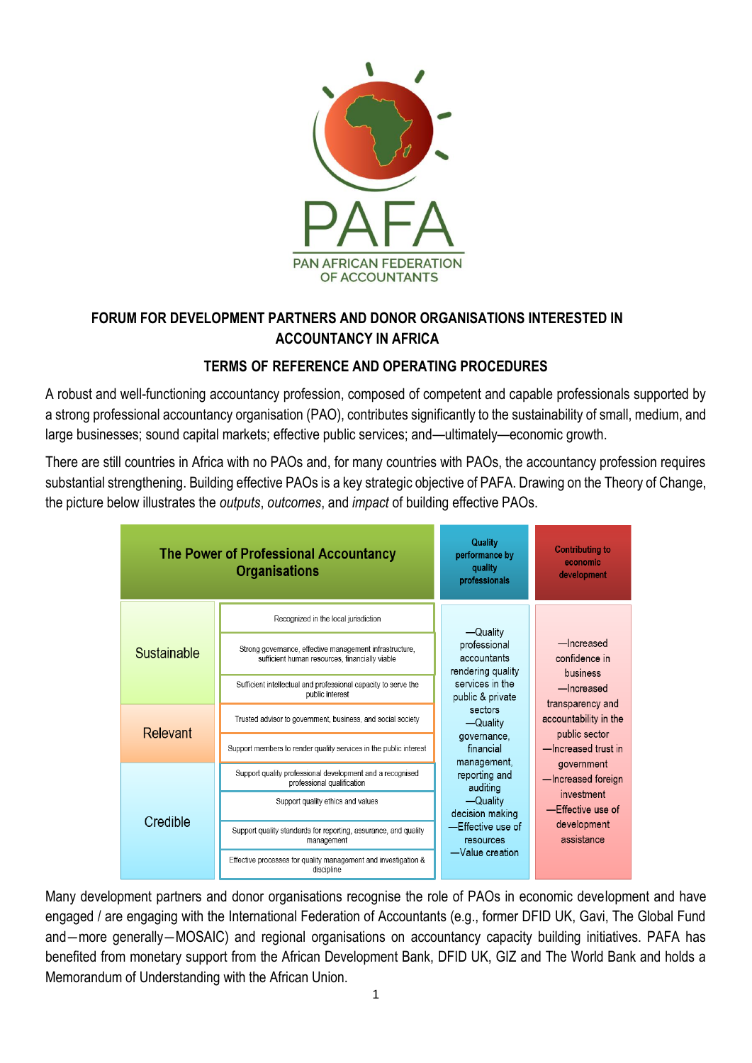

# **FORUM FOR DEVELOPMENT PARTNERS AND DONOR ORGANISATIONS INTERESTED IN ACCOUNTANCY IN AFRICA**

## **TERMS OF REFERENCE AND OPERATING PROCEDURES**

A robust and well-functioning accountancy profession, composed of competent and capable professionals supported by a strong professional accountancy organisation (PAO), contributes significantly to the sustainability of small, medium, and large businesses; sound capital markets; effective public services; and—ultimately—economic growth.

There are still countries in Africa with no PAOs and, for many countries with PAOs, the accountancy profession requires substantial strengthening. Building effective PAOs is a key strategic objective of PAFA. Drawing on the Theory of Change, the picture below illustrates the *outputs*, *outcomes*, and *impact* of building effective PAOs.

| <b>The Power of Professional Accountancy</b><br><b>Organisations</b> |                                                                                                           | Quality<br>performance by<br>quality<br>professionals                                                                                                                                                                                                                                     | <b>Contributing to</b><br>economic<br>development                                                                                                                                                                                              |
|----------------------------------------------------------------------|-----------------------------------------------------------------------------------------------------------|-------------------------------------------------------------------------------------------------------------------------------------------------------------------------------------------------------------------------------------------------------------------------------------------|------------------------------------------------------------------------------------------------------------------------------------------------------------------------------------------------------------------------------------------------|
| Sustainable                                                          | Recognized in the local jurisdiction                                                                      | —Quality<br>professional<br>accountants<br>rendering quality<br>services in the<br>public & private<br>sectors<br>-Quality<br>governance.<br>financial<br>management,<br>reporting and<br>auditing<br>-Quality<br>decision making<br>—Effective use of<br>resources<br>$-V$ alue creation | -Increased<br>confidence in<br>business<br>-Increased<br>transparency and<br>accountability in the<br>public sector<br>-Increased trust in<br>government<br>-Increased foreign<br>investment<br>—Effective use of<br>development<br>assistance |
|                                                                      | Strong governance, effective management infrastructure,<br>sufficient human resources, financially viable |                                                                                                                                                                                                                                                                                           |                                                                                                                                                                                                                                                |
|                                                                      | Sufficient intellectual and professional capacity to serve the<br>public interest                         |                                                                                                                                                                                                                                                                                           |                                                                                                                                                                                                                                                |
| Relevant                                                             | Trusted advisor to government, business, and social society                                               |                                                                                                                                                                                                                                                                                           |                                                                                                                                                                                                                                                |
|                                                                      | Support members to render quality services in the public interest                                         |                                                                                                                                                                                                                                                                                           |                                                                                                                                                                                                                                                |
| Credible                                                             | Support quality professional development and a recognised<br>professional qualification                   |                                                                                                                                                                                                                                                                                           |                                                                                                                                                                                                                                                |
|                                                                      | Support quality ethics and values                                                                         |                                                                                                                                                                                                                                                                                           |                                                                                                                                                                                                                                                |
|                                                                      | Support quality standards for reporting, assurance, and quality<br>management                             |                                                                                                                                                                                                                                                                                           |                                                                                                                                                                                                                                                |
|                                                                      | Effective processes for quality management and investigation &<br>discipline                              |                                                                                                                                                                                                                                                                                           |                                                                                                                                                                                                                                                |

Many development partners and donor organisations recognise the role of PAOs in economic development and have engaged / are engaging with the International Federation of Accountants (e.g., former DFID UK, Gavi, The Global Fund and―more generally―MOSAIC) and regional organisations on accountancy capacity building initiatives. PAFA has benefited from monetary support from the African Development Bank, DFID UK, GIZ and The World Bank and holds a Memorandum of Understanding with the African Union.